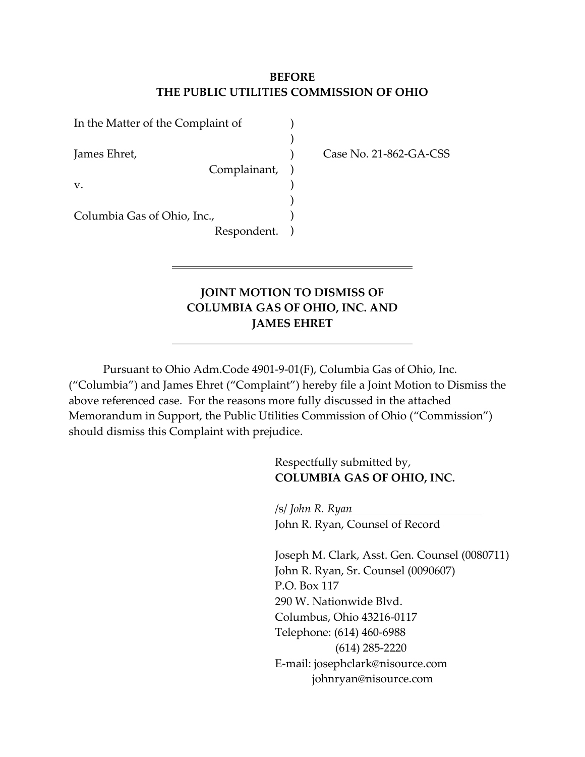### **BEFORE THE PUBLIC UTILITIES COMMISSION OF OHIO**

| In the Matter of the Complaint of |           |
|-----------------------------------|-----------|
| James Ehret,<br>Complainant,      | $\lambda$ |
| V.                                |           |
| Columbia Gas of Ohio, Inc.,       |           |
| Respondent.                       |           |

Case No. 21-862-GA-CSS

## **JOINT MOTION TO DISMISS OF COLUMBIA GAS OF OHIO, INC. AND JAMES EHRET**

Pursuant to Ohio Adm.Code 4901-9-01(F), Columbia Gas of Ohio, Inc. ("Columbia") and James Ehret ("Complaint") hereby file a Joint Motion to Dismiss the above referenced case. For the reasons more fully discussed in the attached Memorandum in Support, the Public Utilities Commission of Ohio ("Commission") should dismiss this Complaint with prejudice.

> Respectfully submitted by, **COLUMBIA GAS OF OHIO, INC.**

/s/ *John R. Ryan* John R. Ryan, Counsel of Record

Joseph M. Clark, Asst. Gen. Counsel (0080711) John R. Ryan, Sr. Counsel (0090607) P.O. Box 117 290 W. Nationwide Blvd. Columbus, Ohio 43216-0117 Telephone: (614) 460-6988 (614) 285-2220 E-mail: josephclark@nisource.com johnryan@nisource.com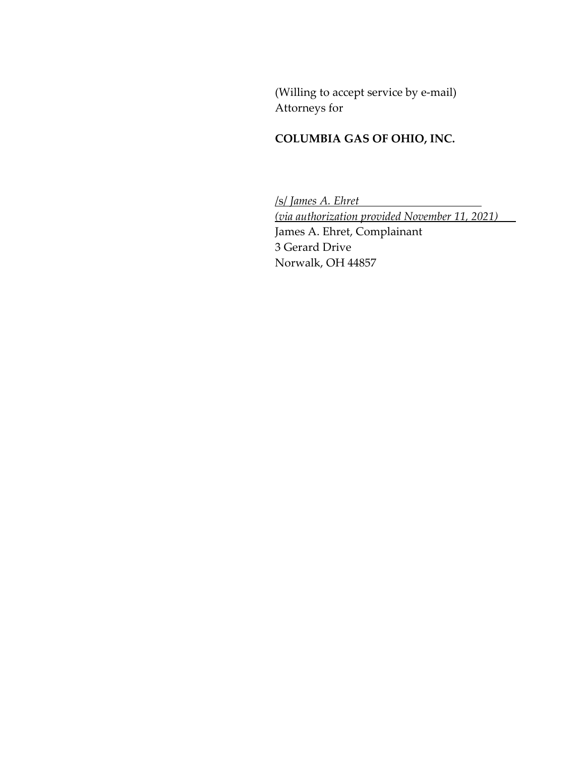(Willing to accept service by e-mail) Attorneys for

# **COLUMBIA GAS OF OHIO, INC.**

/s/ *James A. Ehret (via authorization provided November 11, 2021)* James A. Ehret, Complainant 3 Gerard Drive Norwalk, OH 44857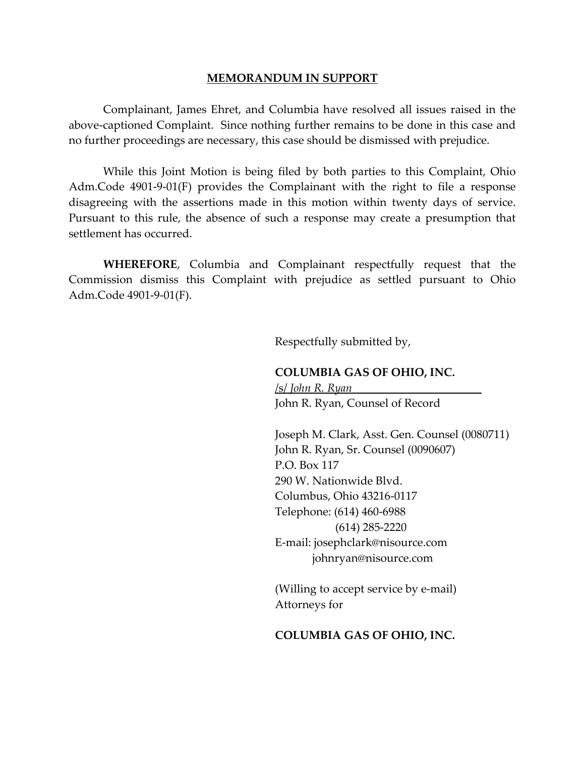#### **MEMORANDUM IN SUPPORT**

Complainant, James Ehret, and Columbia have resolved all issues raised in the above-captioned Complaint. Since nothing further remains to be done in this case and no further proceedings are necessary, this case should be dismissed with prejudice.

While this Joint Motion is being filed by both parties to this Complaint, Ohio Adm.Code 4901-9-01(F) provides the Complainant with the right to file a response disagreeing with the assertions made in this motion within twenty days of service. Pursuant to this rule, the absence of such a response may create a presumption that settlement has occurred.

**WHEREFORE**, Columbia and Complainant respectfully request that the Commission dismiss this Complaint with prejudice as settled pursuant to Ohio Adm.Code 4901-9-01(F).

Respectfully submitted by,

#### **COLUMBIA GAS OF OHIO, INC.**

/s/ *John R. Ryan* John R. Ryan, Counsel of Record

Joseph M. Clark, Asst. Gen. Counsel (0080711) John R. Ryan, Sr. Counsel (0090607) P.O. Box 117 290 W. Nationwide Blvd. Columbus, Ohio 43216-0117 Telephone: (614) 460-6988 (614) 285-2220 E-mail: josephclark@nisource.com johnryan@nisource.com

(Willing to accept service by e-mail) Attorneys for

#### **COLUMBIA GAS OF OHIO, INC.**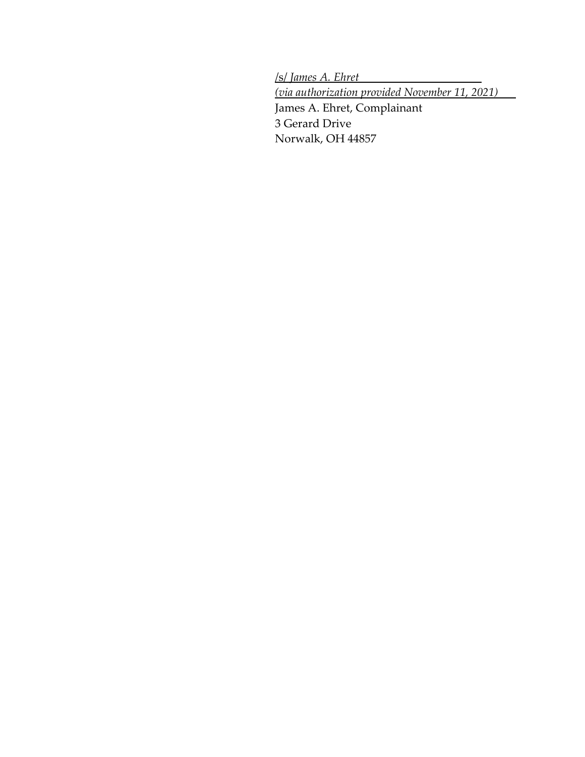/s/ *James A. Ehret (via authorization provided November 11, 2021)* James A. Ehret, Complainant 3 Gerard Drive Norwalk, OH 44857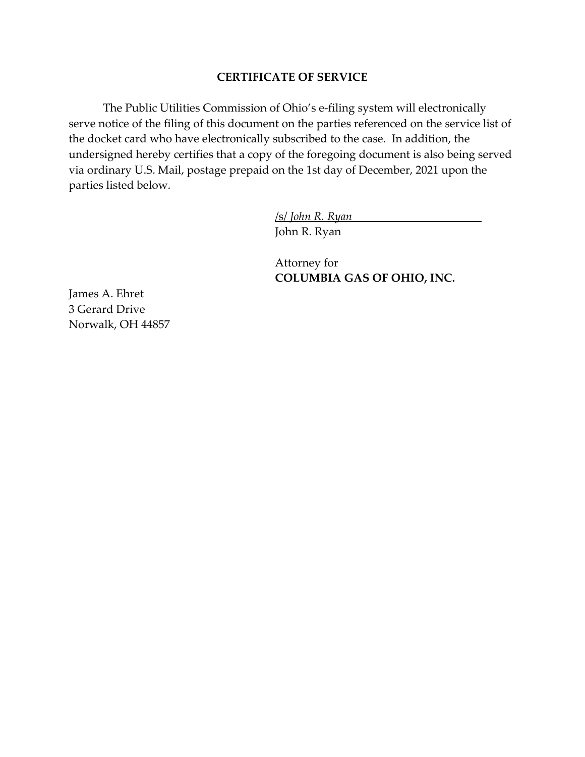### **CERTIFICATE OF SERVICE**

The Public Utilities Commission of Ohio's e-filing system will electronically serve notice of the filing of this document on the parties referenced on the service list of the docket card who have electronically subscribed to the case. In addition, the undersigned hereby certifies that a copy of the foregoing document is also being served via ordinary U.S. Mail, postage prepaid on the 1st day of December, 2021 upon the parties listed below.

/s/ *John R. Ryan*

John R. Ryan

Attorney for **COLUMBIA GAS OF OHIO, INC.** 

James A. Ehret 3 Gerard Drive Norwalk, OH 44857